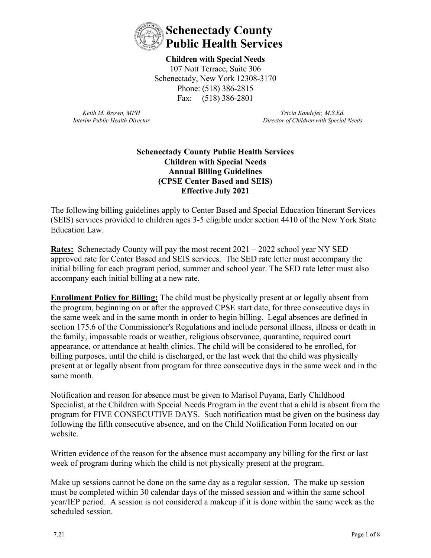

**Children with Special Needs**  107 Nott Terrace, Suite 306 Schenectady, New York 12308-3170 Phone: (518) 386-2815 Fax: (518) 386-2801

*Keith M. Brown, MPH Interim Public Health Director*

*Tricia Kandefer, M.S.Ed. Director of Children with Special Needs*

### **Schenectady County Public Health Services Children with Special Needs Annual Billing Guidelines (CPSE Center Based and SEIS) Effective July 2021**

The following billing guidelines apply to Center Based and Special Education Itinerant Services (SEIS) services provided to children ages 3-5 eligible under section 4410 of the New York State Education Law.

**Rates:** Schenectady County will pay the most recent 2021 – 2022 school year NY SED approved rate for Center Based and SEIS services. The SED rate letter must accompany the initial billing for each program period, summer and school year. The SED rate letter must also accompany each initial billing at a new rate.

**Enrollment Policy for Billing:** The child must be physically present at or legally absent from the program, beginning on or after the approved CPSE start date, for three consecutive days in the same week and in the same month in order to begin billing. Legal absences are defined in section 175.6 of the Commissioner's Regulations and include personal illness, illness or death in the family, impassable roads or weather, religious observance, quarantine, required court appearance, or attendance at health clinics. The child will be considered to be enrolled, for billing purposes, until the child is discharged, or the last week that the child was physically present at or legally absent from program for three consecutive days in the same week and in the same month.

Notification and reason for absence must be given to Marisol Puyana, Early Childhood Specialist, at the Children with Special Needs Program in the event that a child is absent from the program for FIVE CONSECUTIVE DAYS. Such notification must be given on the business day following the fifth consecutive absence, and on the Child Notification Form located on our website.

Written evidence of the reason for the absence must accompany any billing for the first or last week of program during which the child is not physically present at the program.

Make up sessions cannot be done on the same day as a regular session. The make up session must be completed within 30 calendar days of the missed session and within the same school year/IEP period. A session is not considered a makeup if it is done within the same week as the scheduled session.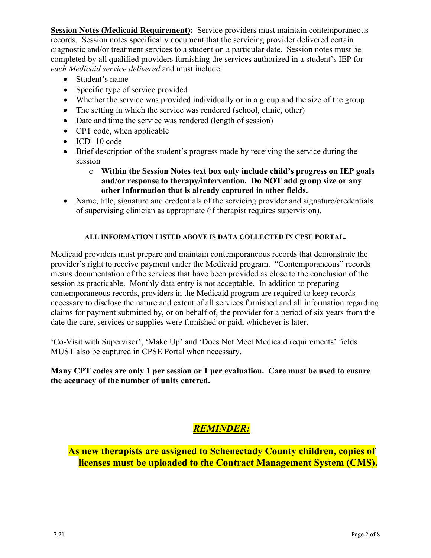**Session Notes (Medicaid Requirement):** Service providers must maintain contemporaneous records. Session notes specifically document that the servicing provider delivered certain diagnostic and/or treatment services to a student on a particular date. Session notes must be completed by all qualified providers furnishing the services authorized in a student's IEP for *each Medicaid service delivered* and must include:

- Student's name
- Specific type of service provided
- Whether the service was provided individually or in a group and the size of the group
- The setting in which the service was rendered (school, clinic, other)
- Date and time the service was rendered (length of session)
- CPT code, when applicable
- ICD- 10 code
- Brief description of the student's progress made by receiving the service during the session
	- o **Within the Session Notes text box only include child's progress on IEP goals and/or response to therapy/intervention. Do NOT add group size or any other information that is already captured in other fields.**
- Name, title, signature and credentials of the servicing provider and signature/credentials of supervising clinician as appropriate (if therapist requires supervision).

#### **ALL INFORMATION LISTED ABOVE IS DATA COLLECTED IN CPSE PORTAL.**

Medicaid providers must prepare and maintain contemporaneous records that demonstrate the provider's right to receive payment under the Medicaid program. "Contemporaneous" records means documentation of the services that have been provided as close to the conclusion of the session as practicable. Monthly data entry is not acceptable. In addition to preparing contemporaneous records, providers in the Medicaid program are required to keep records necessary to disclose the nature and extent of all services furnished and all information regarding claims for payment submitted by, or on behalf of, the provider for a period of six years from the date the care, services or supplies were furnished or paid, whichever is later.

'Co-Visit with Supervisor', 'Make Up' and 'Does Not Meet Medicaid requirements' fields MUST also be captured in CPSE Portal when necessary.

**Many CPT codes are only 1 per session or 1 per evaluation. Care must be used to ensure the accuracy of the number of units entered.**

# *REMINDER:*

**As new therapists are assigned to Schenectady County children, copies of licenses must be uploaded to the Contract Management System (CMS).**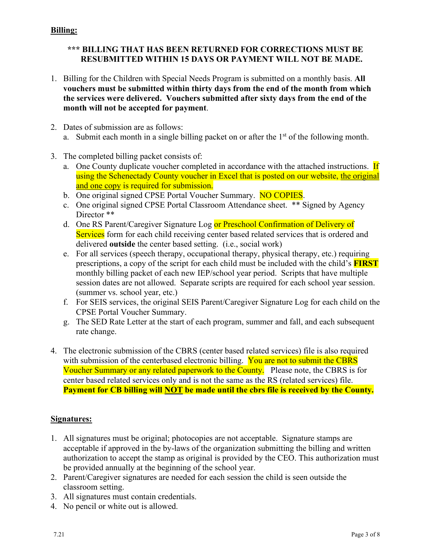# **Billing:**

# **\*\*\* BILLING THAT HAS BEEN RETURNED FOR CORRECTIONS MUST BE RESUBMITTED WITHIN 15 DAYS OR PAYMENT WILL NOT BE MADE.**

- 1. Billing for the Children with Special Needs Program is submitted on a monthly basis. **All vouchers must be submitted within thirty days from the end of the month from which the services were delivered. Vouchers submitted after sixty days from the end of the month will not be accepted for payment**.
- 2. Dates of submission are as follows: a. Submit each month in a single billing packet on or after the  $1<sup>st</sup>$  of the following month.
- 3. The completed billing packet consists of:
	- a. One County duplicate voucher completed in accordance with the attached instructions. If using the Schenectady County voucher in Excel that is posted on our website, the original and one copy is required for submission.
	- b. One original signed CPSE Portal Voucher Summary. NO COPIES.
	- c. One original signed CPSE Portal Classroom Attendance sheet. \*\* Signed by Agency Director \*\*
	- d. One RS Parent/Caregiver Signature Log or Preschool Confirmation of Delivery of Services form for each child receiving center based related services that is ordered and delivered **outside** the center based setting. (i.e., social work)
	- e. For all services (speech therapy, occupational therapy, physical therapy, etc.) requiring prescriptions, a copy of the script for each child must be included with the child's **FIRST** monthly billing packet of each new IEP/school year period. Scripts that have multiple session dates are not allowed. Separate scripts are required for each school year session. (summer vs. school year, etc.)
	- f. For SEIS services, the original SEIS Parent/Caregiver Signature Log for each child on the CPSE Portal Voucher Summary.
	- g. The SED Rate Letter at the start of each program, summer and fall, and each subsequent rate change.
- 4. The electronic submission of the CBRS (center based related services) file is also required with submission of the centerbased electronic billing. You are not to submit the CBRS Voucher Summary or any related paperwork to the County. Please note, the CBRS is for center based related services only and is not the same as the RS (related services) file. **Payment for CB billing will NOT be made until the cbrs file is received by the County.**

### **Signatures:**

- 1. All signatures must be original; photocopies are not acceptable. Signature stamps are acceptable if approved in the by-laws of the organization submitting the billing and written authorization to accept the stamp as original is provided by the CEO. This authorization must be provided annually at the beginning of the school year.
- 2. Parent/Caregiver signatures are needed for each session the child is seen outside the classroom setting.
- 3. All signatures must contain credentials.
- 4. No pencil or white out is allowed.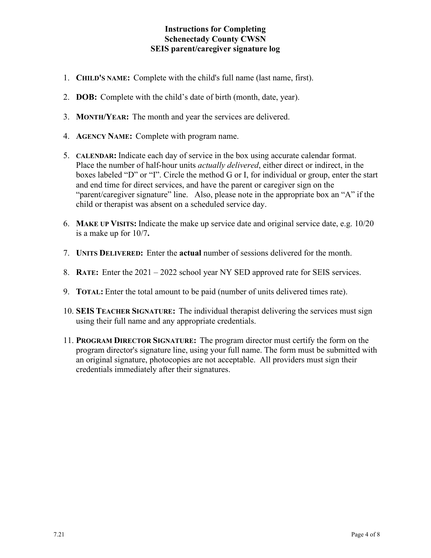### **Instructions for Completing Schenectady County CWSN SEIS parent/caregiver signature log**

- 1. **CHILD'S NAME:** Complete with the child's full name (last name, first).
- 2. **DOB:** Complete with the child's date of birth (month, date, year).
- 3. **MONTH/YEAR:** The month and year the services are delivered.
- 4. **AGENCY NAME:** Complete with program name.
- 5. **CALENDAR:** Indicate each day of service in the box using accurate calendar format. Place the number of half-hour units *actually delivered*, either direct or indirect, in the boxes labeled "D" or "I". Circle the method G or I, for individual or group, enter the start and end time for direct services, and have the parent or caregiver sign on the "parent/caregiver signature" line. Also, please note in the appropriate box an "A" if the child or therapist was absent on a scheduled service day.
- 6. **MAKE UP VISITS:** Indicate the make up service date and original service date, e.g. 10/20 is a make up for 10/7**.**
- 7. **UNITS DELIVERED:** Enter the **actual** number of sessions delivered for the month.
- 8. **RATE:** Enter the 2021 2022 school year NY SED approved rate for SEIS services.
- 9. **TOTAL:** Enter the total amount to be paid (number of units delivered times rate).
- 10. **SEIS TEACHER SIGNATURE:** The individual therapist delivering the services must sign using their full name and any appropriate credentials.
- 11. **PROGRAM DIRECTOR SIGNATURE:** The program director must certify the form on the program director's signature line, using your full name. The form must be submitted with an original signature, photocopies are not acceptable. All providers must sign their credentials immediately after their signatures.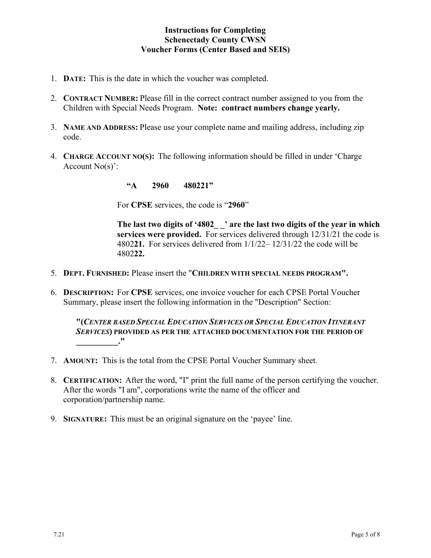### **Instructions for Completing Schenectady County CWSN Voucher Forms (Center Based and SEIS)**

- 1. **DATE:** This is the date in which the voucher was completed.
- 2. **CONTRACT NUMBER:** Please fill in the correct contract number assigned to you from the Children with Special Needs Program. **Note: contract numbers change yearly.**
- 3. **NAME AND ADDRESS:** Please use your complete name and mailing address, including zip code.
- 4. **CHARGE ACCOUNT NO(S):** The following information should be filled in under 'Charge Account No(s)':

**"A 2960 480221"**

For **CPSE** services, the code is "**2960**"

**The last two digits of '4802\_ \_' are the last two digits of the year in which services were provided.** For services delivered through 12/31/21 the code is 4802**21.** For services delivered from 1/1/22– 12/31/22 the code will be 4802**22.**

- 5. **DEPT. FURNISHED:** Please insert the "**CHILDREN WITH SPECIAL NEEDS PROGRAM".**
- 6. **DESCRIPTION:** For **CPSE** services, one invoice voucher for each CPSE Portal Voucher Summary, please insert the following information in the "Description" Section:

**"(***CENTER BASED SPECIAL EDUCATION SERVICES OR SPECIAL EDUCATION ITINERANT SERVICES***) PROVIDED AS PER THE ATTACHED DOCUMENTATION FOR THE PERIOD OF \_\_\_\_\_\_\_\_\_\_."**

- 7. **AMOUNT:** This is the total from the CPSE Portal Voucher Summary sheet.
- 8. **CERTIFICATION:** After the word, "I" print the full name of the person certifying the voucher. After the words "I am", corporations write the name of the officer and corporation/partnership name.
- 9. **SIGNATURE:** This must be an original signature on the 'payee' line.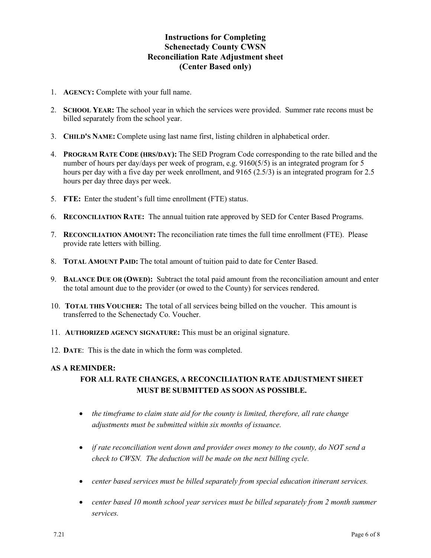### **Instructions for Completing Schenectady County CWSN Reconciliation Rate Adjustment sheet (Center Based only)**

- 1. **AGENCY:** Complete with your full name.
- 2. **SCHOOL YEAR:** The school year in which the services were provided. Summer rate recons must be billed separately from the school year.
- 3. **CHILD'S NAME:** Complete using last name first, listing children in alphabetical order.
- 4. **PROGRAM RATE CODE (HRS/DAY):** The SED Program Code corresponding to the rate billed and the number of hours per day/days per week of program, e.g. 9160(5/5) is an integrated program for 5 hours per day with a five day per week enrollment, and 9165 (2.5/3) is an integrated program for 2.5 hours per day three days per week.
- 5. **FTE:** Enter the student's full time enrollment (FTE) status.
- 6. **RECONCILIATION RATE:** The annual tuition rate approved by SED for Center Based Programs.
- 7. **RECONCILIATION AMOUNT:** The reconciliation rate times the full time enrollment (FTE). Please provide rate letters with billing.
- 8. **TOTAL AMOUNT PAID:** The total amount of tuition paid to date for Center Based.
- 9. **BALANCE DUE OR (OWED):** Subtract the total paid amount from the reconciliation amount and enter the total amount due to the provider (or owed to the County) for services rendered.
- 10. **TOTAL THIS VOUCHER:** The total of all services being billed on the voucher. This amount is transferred to the Schenectady Co. Voucher.
- 11. **AUTHORIZED AGENCY SIGNATURE:** This must be an original signature.
- 12. **DATE**: This is the date in which the form was completed.

#### **AS A REMINDER:**

# **FOR ALL RATE CHANGES, A RECONCILIATION RATE ADJUSTMENT SHEET MUST BE SUBMITTED AS SOON AS POSSIBLE.**

- *the timeframe to claim state aid for the county is limited, therefore, all rate change adjustments must be submitted within six months of issuance.*
- *if rate reconciliation went down and provider owes money to the county, do NOT send a check to CWSN. The deduction will be made on the next billing cycle.*
- *center based services must be billed separately from special education itinerant services.*
- *center based 10 month school year services must be billed separately from 2 month summer services.*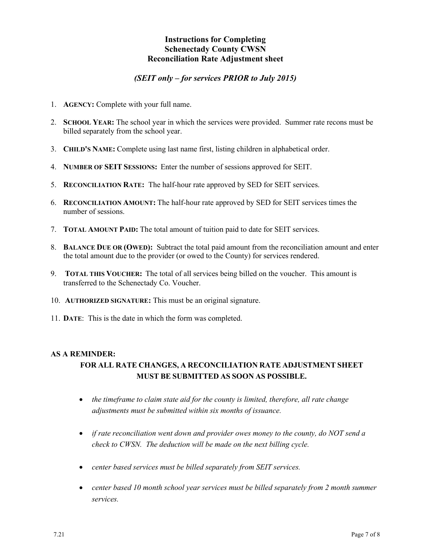#### **Instructions for Completing Schenectady County CWSN Reconciliation Rate Adjustment sheet**

#### *(SEIT only – for services PRIOR to July 2015)*

- 1. **AGENCY:** Complete with your full name.
- 2. **SCHOOL YEAR:** The school year in which the services were provided. Summer rate recons must be billed separately from the school year.
- 3. **CHILD'S NAME:** Complete using last name first, listing children in alphabetical order.
- 4. **NUMBER OF SEIT SESSIONS:** Enter the number of sessions approved for SEIT.
- 5. **RECONCILIATION RATE:** The half-hour rate approved by SED for SEIT services.
- 6. **RECONCILIATION AMOUNT:** The half-hour rate approved by SED for SEIT services times the number of sessions.
- 7. **TOTAL AMOUNT PAID:** The total amount of tuition paid to date for SEIT services.
- 8. **BALANCE DUE OR (OWED):** Subtract the total paid amount from the reconciliation amount and enter the total amount due to the provider (or owed to the County) for services rendered.
- 9. **TOTAL THIS VOUCHER:** The total of all services being billed on the voucher. This amount is transferred to the Schenectady Co. Voucher.
- 10. **AUTHORIZED SIGNATURE:** This must be an original signature.
- 11. **DATE**: This is the date in which the form was completed.

#### **AS A REMINDER:**

# **FOR ALL RATE CHANGES, A RECONCILIATION RATE ADJUSTMENT SHEET MUST BE SUBMITTED AS SOON AS POSSIBLE.**

- *the timeframe to claim state aid for the county is limited, therefore, all rate change adjustments must be submitted within six months of issuance.*
- *if rate reconciliation went down and provider owes money to the county, do NOT send a check to CWSN. The deduction will be made on the next billing cycle.*
- *center based services must be billed separately from SEIT services.*
- *center based 10 month school year services must be billed separately from 2 month summer services.*